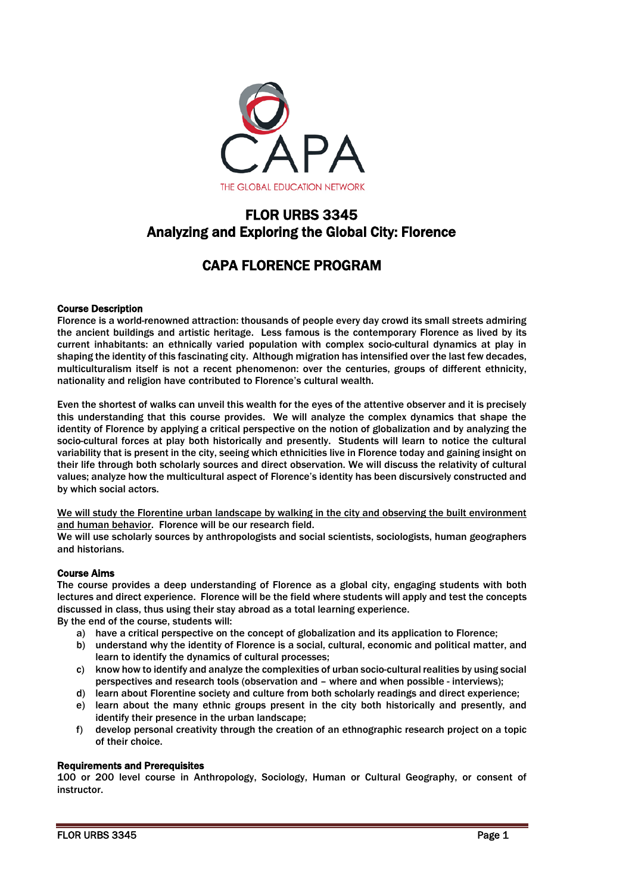

# FLOR URBS 3345 Analyzing and Exploring the Global City: Florence

# CAPA FLORENCE PROGRAM

# Course Description

Florence is a world-renowned attraction: thousands of people every day crowd its small streets admiring the ancient buildings and artistic heritage. Less famous is the contemporary Florence as lived by its current inhabitants: an ethnically varied population with complex socio-cultural dynamics at play in shaping the identity of this fascinating city. Although migration has intensified over the last few decades, multiculturalism itself is not a recent phenomenon: over the centuries, groups of different ethnicity, nationality and religion have contributed to Florence's cultural wealth.

Even the shortest of walks can unveil this wealth for the eyes of the attentive observer and it is precisely this understanding that this course provides. We will analyze the complex dynamics that shape the identity of Florence by applying a critical perspective on the notion of globalization and by analyzing the socio-cultural forces at play both historically and presently. Students will learn to notice the cultural variability that is present in the city, seeing which ethnicities live in Florence today and gaining insight on their life through both scholarly sources and direct observation. We will discuss the relativity of cultural values; analyze how the multicultural aspect of Florence's identity has been discursively constructed and by which social actors.

We will study the Florentine urban landscape by walking in the city and observing the built environment and human behavior. Florence will be our research field.

We will use scholarly sources by anthropologists and social scientists, sociologists, human geographers and historians.

## Course Aims

The course provides a deep understanding of Florence as a global city, engaging students with both lectures and direct experience. Florence will be the field where students will apply and test the concepts discussed in class, thus using their stay abroad as a total learning experience.

By the end of the course, students will:

- a) have a critical perspective on the concept of globalization and its application to Florence;
- b) understand why the identity of Florence is a social, cultural, economic and political matter, and learn to identify the dynamics of cultural processes;
- c) know how to identify and analyze the complexities of urban socio-cultural realities by using social perspectives and research tools (observation and – where and when possible - interviews);
- d) learn about Florentine society and culture from both scholarly readings and direct experience;
- e) learn about the many ethnic groups present in the city both historically and presently, and identify their presence in the urban landscape;
- f) develop personal creativity through the creation of an ethnographic research project on a topic of their choice.

## Requirements and Prerequisites

100 or 200 level course in Anthropology, Sociology, Human or Cultural Geography, or consent of instructor.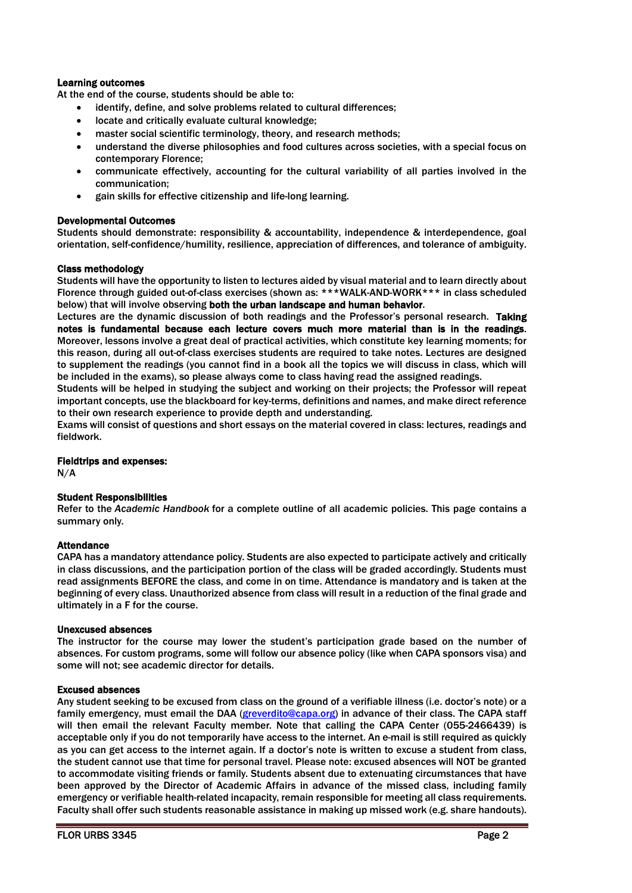## Learning outcomes

At the end of the course, students should be able to:

- identify, define, and solve problems related to cultural differences;
- locate and critically evaluate cultural knowledge;
- master social scientific terminology, theory, and research methods;
- understand the diverse philosophies and food cultures across societies, with a special focus on contemporary Florence;
- communicate effectively, accounting for the cultural variability of all parties involved in the communication;
- gain skills for effective citizenship and life-long learning.

## Developmental Outcomes

Students should demonstrate: responsibility & accountability, independence & interdependence, goal orientation, self-confidence/humility, resilience, appreciation of differences, and tolerance of ambiguity.

## Class methodology

Students will have the opportunity to listen to lectures aided by visual material and to learn directly about Florence through guided out-of-class exercises (shown as: \*\*\*WALK-AND-WORK\*\*\* in class scheduled below) that will involve observing both the urban landscape and human behavior.

Lectures are the dynamic discussion of both readings and the Professor's personal research. Taking notes is fundamental because each lecture covers much more material than is in the readings. Moreover, lessons involve a great deal of practical activities, which constitute key learning moments; for this reason, during all out-of-class exercises students are required to take notes. Lectures are designed to supplement the readings (you cannot find in a book all the topics we will discuss in class, which will be included in the exams), so please always come to class having read the assigned readings.

Students will be helped in studying the subject and working on their projects; the Professor will repeat important concepts, use the blackboard for key-terms, definitions and names, and make direct reference to their own research experience to provide depth and understanding.

Exams will consist of questions and short essays on the material covered in class: lectures, readings and fieldwork.

#### Fieldtrips and expenses:

N/A

## Student Responsibilities

Refer to the *Academic Handbook* for a complete outline of all academic policies. This page contains a summary only.

## **Attendance**

CAPA has a mandatory attendance policy. Students are also expected to participate actively and critically in class discussions, and the participation portion of the class will be graded accordingly. Students must read assignments BEFORE the class, and come in on time. Attendance is mandatory and is taken at the beginning of every class. Unauthorized absence from class will result in a reduction of the final grade and ultimately in a F for the course.

#### Unexcused absences

The instructor for the course may lower the student's participation grade based on the number of absences. For custom programs, some will follow our absence policy (like when CAPA sponsors visa) and some will not; see academic director for details.

## Excused absences

Any student seeking to be excused from class on the ground of a verifiable illness (i.e. doctor's note) or a family emergency, must email the DAA [\(greverdito@capa.org\)](mailto:greverdito@capa.org) in advance of their class. The CAPA staff will then email the relevant Faculty member. Note that calling the CAPA Center (055-2466439) is acceptable only if you do not temporarily have access to the internet. An e-mail is still required as quickly as you can get access to the internet again. If a doctor's note is written to excuse a student from class, the student cannot use that time for personal travel. Please note: excused absences will NOT be granted to accommodate visiting friends or family. Students absent due to extenuating circumstances that have been approved by the Director of Academic Affairs in advance of the missed class, including family emergency or verifiable health-related incapacity, remain responsible for meeting all class requirements. Faculty shall offer such students reasonable assistance in making up missed work (e.g. share handouts).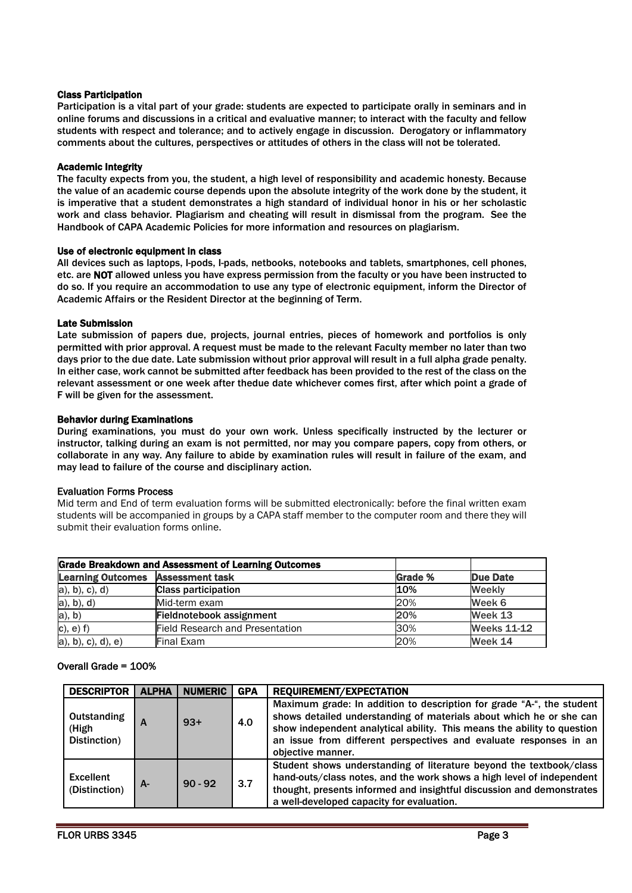## Class Participation

Participation is a vital part of your grade: students are expected to participate orally in seminars and in online forums and discussions in a critical and evaluative manner; to interact with the faculty and fellow students with respect and tolerance; and to actively engage in discussion. Derogatory or inflammatory comments about the cultures, perspectives or attitudes of others in the class will not be tolerated.

#### Academic Integrity

The faculty expects from you, the student, a high level of responsibility and academic honesty. Because the value of an academic course depends upon the absolute integrity of the work done by the student, it is imperative that a student demonstrates a high standard of individual honor in his or her scholastic work and class behavior. Plagiarism and cheating will result in dismissal from the program. See the Handbook of CAPA Academic Policies for more information and resources on plagiarism.

#### Use of electronic equipment in class

All devices such as laptops, I-pods, I-pads, netbooks, notebooks and tablets, smartphones, cell phones, etc. are NOT allowed unless you have express permission from the faculty or you have been instructed to do so. If you require an accommodation to use any type of electronic equipment, inform the Director of Academic Affairs or the Resident Director at the beginning of Term.

#### Late Submission

Late submission of papers due, projects, journal entries, pieces of homework and portfolios is only permitted with prior approval. A request must be made to the relevant Faculty member no later than two days prior to the due date. Late submission without prior approval will result in a full alpha grade penalty. In either case, work cannot be submitted after feedback has been provided to the rest of the class on the relevant assessment or one week after thedue date whichever comes first, after which point a grade of F will be given for the assessment.

#### Behavior during Examinations

During examinations, you must do your own work. Unless specifically instructed by the lecturer or instructor, talking during an exam is not permitted, nor may you compare papers, copy from others, or collaborate in any way. Any failure to abide by examination rules will result in failure of the exam, and may lead to failure of the course and disciplinary action.

## Evaluation Forms Process

Mid term and End of term evaluation forms will be submitted electronically: before the final written exam students will be accompanied in groups by a CAPA staff member to the computer room and there they will submit their evaluation forms online.

| <b>Grade Breakdown and Assessment of Learning Outcomes</b> |                                 |         |                    |  |
|------------------------------------------------------------|---------------------------------|---------|--------------------|--|
| <b>Learning Outcomes</b>                                   | <b>Assessment task</b>          | Grade % | <b>Due Date</b>    |  |
| $a)$ , b), c), d)                                          | <b>Class participation</b>      | 10%     | Weekly             |  |
| a), b), d)                                                 | Mid-term exam                   | 20%     | Week 6             |  |
| $a)$ , $b)$                                                | Fieldnotebook assignment        | 20%     | Week 13            |  |
| $c)$ , $e)$ $f)$                                           | Field Research and Presentation | 30%     | <b>Weeks 11-12</b> |  |
| a), b), c), d), e)                                         | Final Exam                      | 20%     | Week 14            |  |

## Overall Grade = 100%

| <b>DESCRIPTOR</b>                    | <b>ALPHA</b> | <b>NUMERIC</b> | <b>GPA</b> | <b>REQUIREMENT/EXPECTATION</b>                                                                                                                                                                                                                                                                                    |
|--------------------------------------|--------------|----------------|------------|-------------------------------------------------------------------------------------------------------------------------------------------------------------------------------------------------------------------------------------------------------------------------------------------------------------------|
| Outstanding<br>(High<br>Distinction) | А            | $93+$          | 4.0        | Maximum grade: In addition to description for grade "A-", the student<br>shows detailed understanding of materials about which he or she can<br>show independent analytical ability. This means the ability to question<br>an issue from different perspectives and evaluate responses in an<br>objective manner. |
| <b>Excellent</b><br>(Distinction)    | А-           | $90 - 92$      | 3.7        | Student shows understanding of literature beyond the textbook/class<br>hand-outs/class notes, and the work shows a high level of independent<br>thought, presents informed and insightful discussion and demonstrates<br>a well-developed capacity for evaluation.                                                |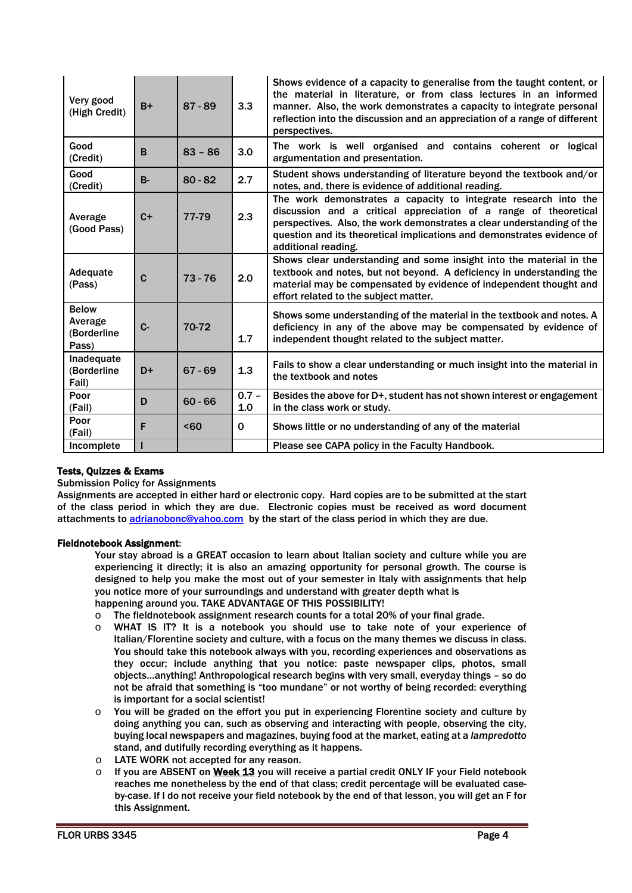| Very good<br>(High Credit)                      | $B+$        | $87 - 89$        | 3.3            | Shows evidence of a capacity to generalise from the taught content, or<br>the material in literature, or from class lectures in an informed<br>manner. Also, the work demonstrates a capacity to integrate personal<br>reflection into the discussion and an appreciation of a range of different<br>perspectives. |
|-------------------------------------------------|-------------|------------------|----------------|--------------------------------------------------------------------------------------------------------------------------------------------------------------------------------------------------------------------------------------------------------------------------------------------------------------------|
| Good<br>(Credit)                                | B           | $83 - 86$        | 3.0            | The work is well organised and contains coherent or logical<br>argumentation and presentation.                                                                                                                                                                                                                     |
| Good<br>(Credit)                                | $B -$       | $80 - 82$        | 2.7            | Student shows understanding of literature beyond the textbook and/or<br>notes, and, there is evidence of additional reading.                                                                                                                                                                                       |
| Average<br>(Good Pass)                          | $C+$        | 77-79            | 2.3            | The work demonstrates a capacity to integrate research into the<br>discussion and a critical appreciation of a range of theoretical<br>perspectives. Also, the work demonstrates a clear understanding of the<br>question and its theoretical implications and demonstrates evidence of<br>additional reading.     |
| Adequate<br>(Pass)                              | $\mathbf c$ | $73 - 76$        | 2.0            | Shows clear understanding and some insight into the material in the<br>textbook and notes, but not beyond. A deficiency in understanding the<br>material may be compensated by evidence of independent thought and<br>effort related to the subject matter.                                                        |
| <b>Below</b><br>Average<br>(Borderline<br>Pass) | $C -$       | 70-72            | 1.7            | Shows some understanding of the material in the textbook and notes. A<br>deficiency in any of the above may be compensated by evidence of<br>independent thought related to the subject matter.                                                                                                                    |
| Inadequate<br>(Borderline<br>Fail)              | $D+$        | $67 - 69$        | 1.3            | Fails to show a clear understanding or much insight into the material in<br>the textbook and notes                                                                                                                                                                                                                 |
| Poor<br>(Fail)                                  | D           | $60 - 66$        | $0.7 -$<br>1.0 | Besides the above for D+, student has not shown interest or engagement<br>in the class work or study.                                                                                                                                                                                                              |
| Poor<br>(Fail)                                  | F           | 50 <sub>60</sub> | $\mathbf 0$    | Shows little or no understanding of any of the material                                                                                                                                                                                                                                                            |
| Incomplete                                      |             |                  |                | Please see CAPA policy in the Faculty Handbook.                                                                                                                                                                                                                                                                    |

## Tests, Quizzes & Exams

Submission Policy for Assignments

Assignments are accepted in either hard or electronic copy. Hard copies are to be submitted at the start of the class period in which they are due. Electronic copies must be received as word document attachments to [adrianobonc@yahoo.com](mailto:adrianobonc@yahoo.com) by the start of the class period in which they are due.

## Fieldnotebook Assignment:

Your stay abroad is a GREAT occasion to learn about Italian society and culture while you are experiencing it directly; it is also an amazing opportunity for personal growth. The course is designed to help you make the most out of your semester in Italy with assignments that help you notice more of your surroundings and understand with greater depth what is happening around you. TAKE ADVANTAGE OF THIS POSSIBILITY!

o The fieldnotebook assignment research counts for a total 20% of your final grade.

- o WHAT IS IT? It is a notebook you should use to take note of your experience of Italian/Florentine society and culture, with a focus on the many themes we discuss in class. You should take this notebook always with you, recording experiences and observations as they occur; include anything that you notice: paste newspaper clips, photos, small objects…anything! Anthropological research begins with very small, everyday things – so do not be afraid that something is "too mundane" or not worthy of being recorded: everything is important for a social scientist!
- $\circ$  You will be graded on the effort you put in experiencing Florentine society and culture by doing anything you can, such as observing and interacting with people, observing the city, buying local newspapers and magazines, buying food at the market, eating at a *lampredotto* stand, and dutifully recording everything as it happens.
- O LATE WORK not accepted for any reason.<br>
O If you are ABSENT on Week 13 you will re
- If you are ABSENT on Week 13 you will receive a partial credit ONLY IF your Field notebook reaches me nonetheless by the end of that class; credit percentage will be evaluated caseby-case. If I do not receive your field notebook by the end of that lesson, you will get an F for this Assignment.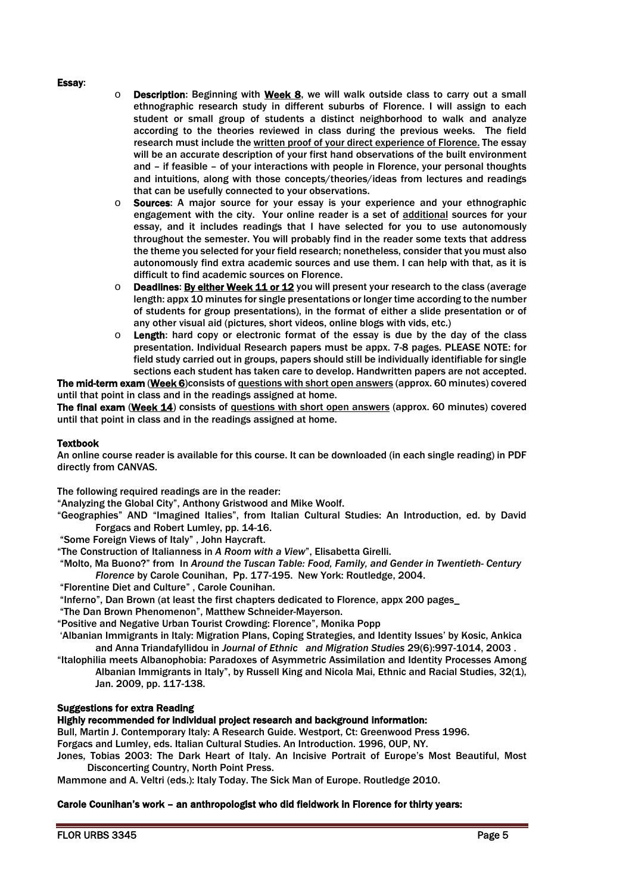#### Essay:

- $\circ$  Description: Beginning with Week 8, we will walk outside class to carry out a small ethnographic research study in different suburbs of Florence. I will assign to each student or small group of students a distinct neighborhood to walk and analyze according to the theories reviewed in class during the previous weeks. The field research must include the written proof of your direct experience of Florence. The essay will be an accurate description of your first hand observations of the built environment and – if feasible – of your interactions with people in Florence, your personal thoughts and intuitions, along with those concepts/theories/ideas from lectures and readings that can be usefully connected to your observations.
- o Sources: A major source for your essay is your experience and your ethnographic engagement with the city. Your online reader is a set of additional sources for your essay, and it includes readings that I have selected for you to use autonomously throughout the semester. You will probably find in the reader some texts that address the theme you selected for your field research; nonetheless, consider that you must also autonomously find extra academic sources and use them. I can help with that, as it is difficult to find academic sources on Florence.
- o Deadlines: By either Week 11 or 12 you will present your research to the class (average length: appx 10 minutes for single presentations or longer time according to the number of students for group presentations), in the format of either a slide presentation or of any other visual aid (pictures, short videos, online blogs with vids, etc.)
- $\circ$  Length: hard copy or electronic format of the essay is due by the day of the class presentation. Individual Research papers must be appx. 7-8 pages. PLEASE NOTE: for field study carried out in groups, papers should still be individually identifiable for single sections each student has taken care to develop. Handwritten papers are not accepted.

The mid-term exam (Week 6)consists of questions with short open answers (approx. 60 minutes) covered until that point in class and in the readings assigned at home.

The final exam (Week 14) consists of questions with short open answers (approx. 60 minutes) covered until that point in class and in the readings assigned at home.

#### **Textbook**

An online course reader is available for this course. It can be downloaded (in each single reading) in PDF directly from CANVAS.

The following required readings are in the reader:

"Analyzing the Global City", Anthony Gristwood and Mike Woolf.

"Geographies" AND "Imagined Italies", from Italian Cultural Studies: An Introduction, ed. by David Forgacs and Robert Lumley, pp. 14-16.

"Some Foreign Views of Italy" , John Haycraft.

"The Construction of Italianness in *A Room with a View*", Elisabetta Girelli.

"Molto, Ma Buono?" from In *Around the Tuscan Table: Food, Family, and Gender in Twentieth- Century Florence* by Carole Counihan, Pp. 177-195. New York: Routledge, 2004.

"Florentine Diet and Culture" , Carole Counihan.

"Inferno", Dan Brown (at least the first chapters dedicated to Florence, appx 200 pages\_

"The Dan Brown Phenomenon", Matthew Schneider-Mayerson.

"Positive and Negative Urban Tourist Crowding: Florence", Monika Popp

'Albanian Immigrants in Italy: Migration Plans, Coping Strategies, and Identity Issues' by Kosic, Ankica and Anna Triandafyllidou in *Journal of Ethnic and Migration Studies* 29(6):997-1014, 2003 .

"Italophilia meets Albanophobia: Paradoxes of Asymmetric Assimilation and Identity Processes Among Albanian Immigrants in Italy", by Russell King and Nicola Mai, Ethnic and Racial Studies, 32(1), Jan. 2009, pp. 117-138.

# Suggestions for extra Reading

# Highly recommended for individual project research and background information:

Bull, Martin J. Contemporary Italy: A Research Guide. Westport, Ct: Greenwood Press 1996.

Forgacs and Lumley, eds. Italian Cultural Studies. An Introduction. 1996, OUP, NY.

Jones, Tobias 2003: The Dark Heart of Italy. An Incisive Portrait of Europe's Most Beautiful, Most Disconcerting Country, North Point Press.

Mammone and A. Veltri (eds.): Italy Today. The Sick Man of Europe. Routledge 2010.

#### Carole Counihan's work – an anthropologist who did fieldwork in Florence for thirty years: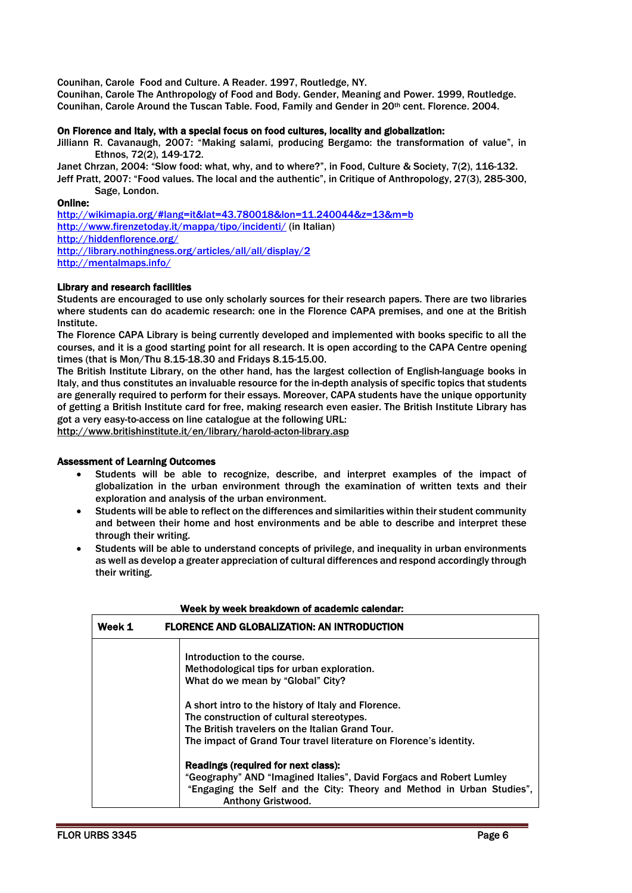Counihan, Carole Food and Culture. A Reader. 1997, Routledge, NY.

Counihan, Carole The Anthropology of Food and Body. Gender, Meaning and Power. 1999, Routledge. Counihan, Carole Around the Tuscan Table. Food, Family and Gender in 20th cent. Florence. 2004.

#### On Florence and Italy, with a special focus on food cultures, locality and globalization:

Jilliann R. Cavanaugh, 2007: "Making salami, producing Bergamo: the transformation of value", in Ethnos, 72(2), 149-172.

Janet Chrzan, 2004: "Slow food: what, why, and to where?", in Food, Culture & Society, 7(2), 116-132. Jeff Pratt, 2007: "Food values. The local and the authentic", in Critique of Anthropology, 27(3), 285-300, Sage, London.

## Online:

<http://wikimapia.org/#lang=it&lat=43.780018&lon=11.240044&z=13&m=b> <http://www.firenzetoday.it/mappa/tipo/incidenti/> (in Italian) <http://hiddenflorence.org/> <http://library.nothingness.org/articles/all/all/display/2> <http://mentalmaps.info/>

## Library and research facilities

Students are encouraged to use only scholarly sources for their research papers. There are two libraries where students can do academic research: one in the Florence CAPA premises, and one at the British Institute.

The Florence CAPA Library is being currently developed and implemented with books specific to all the courses, and it is a good starting point for all research. It is open according to the CAPA Centre opening times (that is Mon/Thu 8.15-18.30 and Fridays 8.15-15.00.

The British Institute Library, on the other hand, has the largest collection of English-language books in Italy, and thus constitutes an invaluable resource for the in-depth analysis of specific topics that students are generally required to perform for their essays. Moreover, CAPA students have the unique opportunity of getting a British Institute card for free, making research even easier. The British Institute Library has got a very easy-to-access on line catalogue at the following URL:

<http://www.britishinstitute.it/en/library/harold-acton-library.asp>

## Assessment of Learning Outcomes

- Students will be able to recognize, describe, and interpret examples of the impact of globalization in the urban environment through the examination of written texts and their exploration and analysis of the urban environment.
- Students will be able to reflect on the differences and similarities within their student community and between their home and host environments and be able to describe and interpret these through their writing.
- Students will be able to understand concepts of privilege, and inequality in urban environments as well as develop a greater appreciation of cultural differences and respond accordingly through their writing.

| Week 1 | <b>FLORENCE AND GLOBALIZATION: AN INTRODUCTION</b>                                                                                                                                                                         |  |  |  |  |  |
|--------|----------------------------------------------------------------------------------------------------------------------------------------------------------------------------------------------------------------------------|--|--|--|--|--|
|        | Introduction to the course.<br>Methodological tips for urban exploration.<br>What do we mean by "Global" City?                                                                                                             |  |  |  |  |  |
|        | A short intro to the history of Italy and Florence.<br>The construction of cultural stereotypes.<br>The British travelers on the Italian Grand Tour.<br>The impact of Grand Tour travel literature on Florence's identity. |  |  |  |  |  |
|        | Readings (required for next class):<br>"Geography" AND "Imagined Italies", David Forgacs and Robert Lumley<br>"Engaging the Self and the City: Theory and Method in Urban Studies".<br><b>Anthony Gristwood.</b>           |  |  |  |  |  |

#### Week by week breakdown of academic calendar: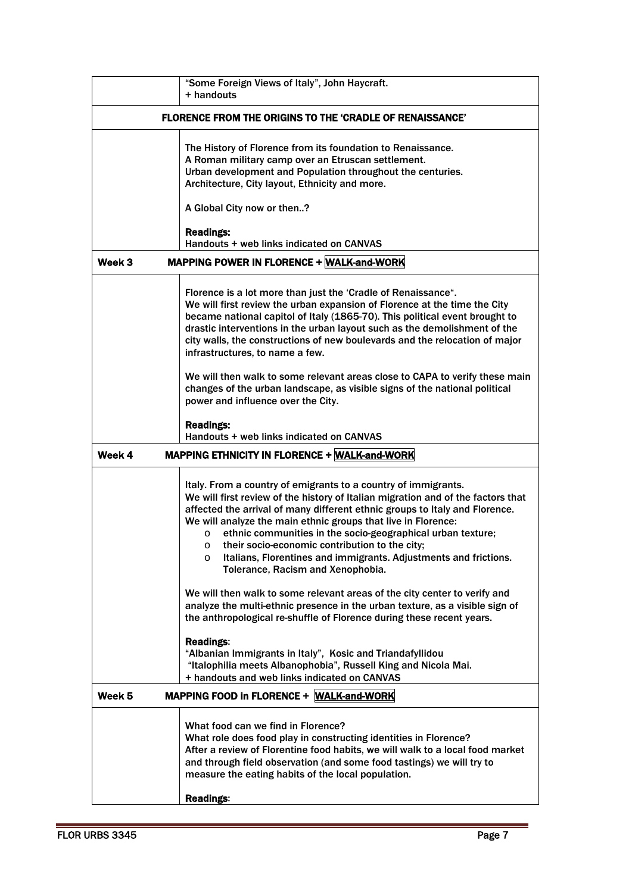|        | "Some Foreign Views of Italy", John Haycraft.<br>+ handouts                                                                                                                                                                                                                                                                                                                                                                                                                                                                                                                                                                 |
|--------|-----------------------------------------------------------------------------------------------------------------------------------------------------------------------------------------------------------------------------------------------------------------------------------------------------------------------------------------------------------------------------------------------------------------------------------------------------------------------------------------------------------------------------------------------------------------------------------------------------------------------------|
|        | <b>FLORENCE FROM THE ORIGINS TO THE 'CRADLE OF RENAISSANCE'</b>                                                                                                                                                                                                                                                                                                                                                                                                                                                                                                                                                             |
|        | The History of Florence from its foundation to Renaissance.<br>A Roman military camp over an Etruscan settlement.<br>Urban development and Population throughout the centuries.<br>Architecture, City layout, Ethnicity and more.<br>A Global City now or then?<br><b>Readings:</b><br>Handouts + web links indicated on CANVAS                                                                                                                                                                                                                                                                                             |
| Week 3 | MAPPING POWER IN FLORENCE + WALK-and-WORK                                                                                                                                                                                                                                                                                                                                                                                                                                                                                                                                                                                   |
|        | Florence is a lot more than just the 'Cradle of Renaissance".<br>We will first review the urban expansion of Florence at the time the City<br>became national capitol of Italy (1865-70). This political event brought to<br>drastic interventions in the urban layout such as the demolishment of the<br>city walls, the constructions of new boulevards and the relocation of major<br>infrastructures, to name a few.<br>We will then walk to some relevant areas close to CAPA to verify these main<br>changes of the urban landscape, as visible signs of the national political<br>power and influence over the City. |
|        | <b>Readings:</b><br>Handouts + web links indicated on CANVAS                                                                                                                                                                                                                                                                                                                                                                                                                                                                                                                                                                |
| Week 4 | <b>MAPPING ETHNICITY IN FLORENCE + WALK-and-WORK</b>                                                                                                                                                                                                                                                                                                                                                                                                                                                                                                                                                                        |
|        | Italy. From a country of emigrants to a country of immigrants.<br>We will first review of the history of Italian migration and of the factors that<br>affected the arrival of many different ethnic groups to Italy and Florence.<br>We will analyze the main ethnic groups that live in Florence:<br>ethnic communities in the socio-geographical urban texture;<br>$\circ$<br>their socio-economic contribution to the city;<br>$\circ$<br>Italians, Florentines and immigrants. Adjustments and frictions.<br>$\circ$<br>Tolerance, Racism and Xenophobia.                                                               |
|        | We will then walk to some relevant areas of the city center to verify and<br>analyze the multi-ethnic presence in the urban texture, as a visible sign of<br>the anthropological re-shuffle of Florence during these recent years.                                                                                                                                                                                                                                                                                                                                                                                          |
|        | <b>Readings:</b><br>"Albanian Immigrants in Italy", Kosic and Triandafyllidou<br>"Italophilia meets Albanophobia", Russell King and Nicola Mai.<br>+ handouts and web links indicated on CANVAS                                                                                                                                                                                                                                                                                                                                                                                                                             |
| Week 5 | MAPPING FOOD in FLORENCE + WALK-and-WORK                                                                                                                                                                                                                                                                                                                                                                                                                                                                                                                                                                                    |
|        | What food can we find in Florence?<br>What role does food play in constructing identities in Florence?<br>After a review of Florentine food habits, we will walk to a local food market<br>and through field observation (and some food tastings) we will try to<br>measure the eating habits of the local population.                                                                                                                                                                                                                                                                                                      |
|        | <b>Readings:</b>                                                                                                                                                                                                                                                                                                                                                                                                                                                                                                                                                                                                            |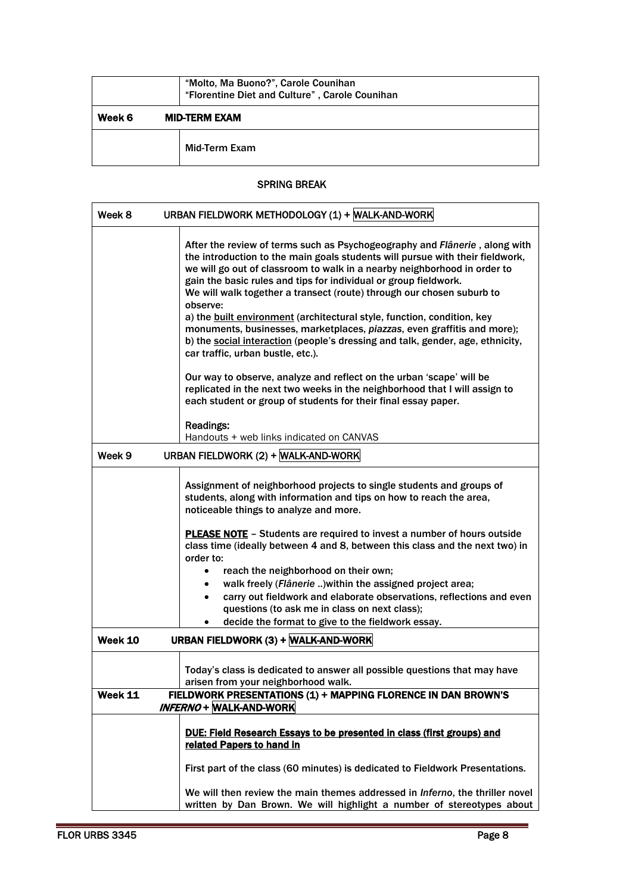|        | "Molto, Ma Buono?", Carole Counihan<br>"Florentine Diet and Culture", Carole Counihan |
|--------|---------------------------------------------------------------------------------------|
| Week 6 | <b>MID-TERM EXAM</b>                                                                  |
|        | Mid-Term Exam                                                                         |

# SPRING BREAK

| Week 8         | URBAN FIELDWORK METHODOLOGY (1) + WALK-AND-WORK                                                                                                                                                                                                                                                                                                                                                                                                                                                                                                                                                                                                                                                                                                    |
|----------------|----------------------------------------------------------------------------------------------------------------------------------------------------------------------------------------------------------------------------------------------------------------------------------------------------------------------------------------------------------------------------------------------------------------------------------------------------------------------------------------------------------------------------------------------------------------------------------------------------------------------------------------------------------------------------------------------------------------------------------------------------|
|                | After the review of terms such as Psychogeography and Flânerie, along with<br>the introduction to the main goals students will pursue with their fieldwork,<br>we will go out of classroom to walk in a nearby neighborhood in order to<br>gain the basic rules and tips for individual or group fieldwork.<br>We will walk together a transect (route) through our chosen suburb to<br>observe:<br>a) the built environment (architectural style, function, condition, key<br>monuments, businesses, marketplaces, piazzas, even graffitis and more);<br>b) the social interaction (people's dressing and talk, gender, age, ethnicity,<br>car traffic, urban bustle, etc.).                                                                      |
|                | Our way to observe, analyze and reflect on the urban 'scape' will be<br>replicated in the next two weeks in the neighborhood that I will assign to<br>each student or group of students for their final essay paper.<br><b>Readings:</b>                                                                                                                                                                                                                                                                                                                                                                                                                                                                                                           |
|                | Handouts + web links indicated on CANVAS                                                                                                                                                                                                                                                                                                                                                                                                                                                                                                                                                                                                                                                                                                           |
| Week 9         | URBAN FIELDWORK (2) + WALK-AND-WORK                                                                                                                                                                                                                                                                                                                                                                                                                                                                                                                                                                                                                                                                                                                |
| Week 10        | Assignment of neighborhood projects to single students and groups of<br>students, along with information and tips on how to reach the area,<br>noticeable things to analyze and more.<br><b>PLEASE NOTE</b> - Students are required to invest a number of hours outside<br>class time (ideally between 4 and 8, between this class and the next two) in<br>order to:<br>reach the neighborhood on their own;<br>$\bullet$<br>walk freely (Flânerie ) within the assigned project area;<br>$\bullet$<br>carry out fieldwork and elaborate observations, reflections and even<br>$\bullet$<br>questions (to ask me in class on next class);<br>decide the format to give to the fieldwork essay.<br>$\bullet$<br>URBAN FIELDWORK (3) + WALK-AND-WORK |
|                |                                                                                                                                                                                                                                                                                                                                                                                                                                                                                                                                                                                                                                                                                                                                                    |
| <b>Week 11</b> | Today's class is dedicated to answer all possible questions that may have<br>arisen from your neighborhood walk.<br>FIELDWORK PRESENTATIONS (1) + MAPPING FLORENCE IN DAN BROWN'S                                                                                                                                                                                                                                                                                                                                                                                                                                                                                                                                                                  |
|                | INFERNO + WALK-AND-WORK                                                                                                                                                                                                                                                                                                                                                                                                                                                                                                                                                                                                                                                                                                                            |
|                | DUE: Field Research Essays to be presented in class (first groups) and<br>related Papers to hand in<br>First part of the class (60 minutes) is dedicated to Fieldwork Presentations.                                                                                                                                                                                                                                                                                                                                                                                                                                                                                                                                                               |
|                | We will then review the main themes addressed in Inferno, the thriller novel<br>written by Dan Brown. We will highlight a number of stereotypes about                                                                                                                                                                                                                                                                                                                                                                                                                                                                                                                                                                                              |